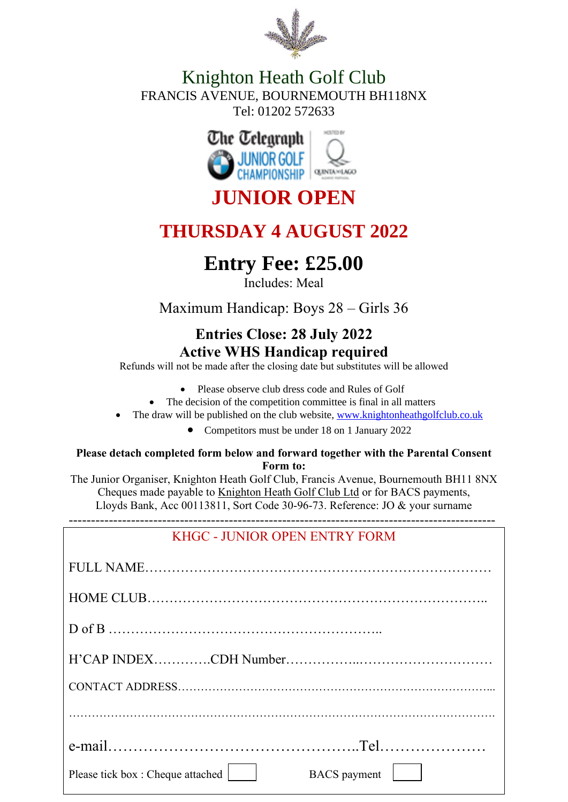

### Knighton Heath Golf Club FRANCIS AVENUE, BOURNEMOUTH BH118NX Tel: 01202 572633



# **JUNIOR OPEN**

# **THURSDAY 4 AUGUST 2022**

# **Entry Fee: £25.00**

Includes: Meal

Maximum Handicap: Boys 28 – Girls 36

### **Entries Close: 28 July 2022 Active WHS Handicap required**

Refunds will not be made after the closing date but substitutes will be allowed

- Please observe club dress code and Rules of Golf
- The decision of the competition committee is final in all matters
- The draw will be published on the club website, [www.knightonheathgolfclub.co.uk](http://www.knightonheathgolfclub.co.uk/)
	- Competitors must be under 18 on 1 January 2022

#### **Please detach completed form below and forward together with the Parental Consent Form to:**

The Junior Organiser, Knighton Heath Golf Club, Francis Avenue, Bournemouth BH11 8NX Cheques made payable to Knighton Heath Golf Club Ltd or for BACS payments, Lloyds Bank, Acc 00113811, Sort Code 30-96-73. Reference: JO & your surname

------------------------------------------------------------------------------------------------

| KHGC - JUNIOR OPEN ENTRY FORM |  |
|-------------------------------|--|
|-------------------------------|--|

| BACS payment  <br>Please tick box: Cheque attached |
|----------------------------------------------------|